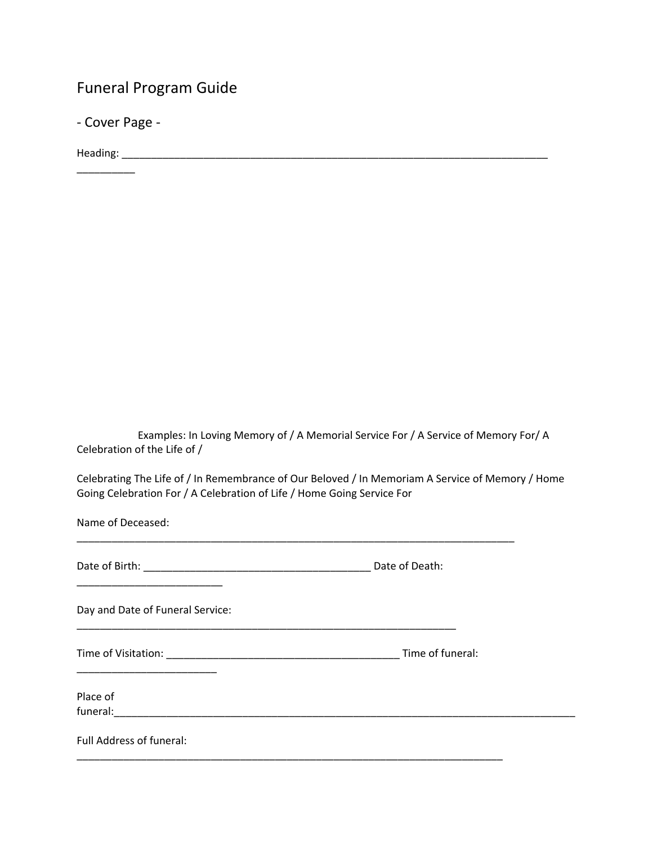# Funeral Program Guide

- Cover Page -

Heading: \_\_\_\_\_\_\_\_\_\_\_\_\_\_\_\_\_\_\_\_\_\_\_\_\_\_\_\_\_\_\_\_\_\_\_\_\_\_\_\_\_\_\_\_\_\_\_\_\_\_\_\_\_\_\_\_\_\_\_\_\_\_\_\_\_\_\_\_\_\_\_\_\_

\_\_\_\_\_\_\_\_\_\_

Examples: In Loving Memory of / A Memorial Service For / A Service of Memory For/ A Celebration of the Life of /

Celebrating The Life of / In Remembrance of Our Beloved / In Memoriam A Service of Memory / Home Going Celebration For / A Celebration of Life / Home Going Service For

\_\_\_\_\_\_\_\_\_\_\_\_\_\_\_\_\_\_\_\_\_\_\_\_\_\_\_\_\_\_\_\_\_\_\_\_\_\_\_\_\_\_\_\_\_\_\_\_\_\_\_\_\_\_\_\_\_\_\_\_\_\_\_\_\_\_\_\_\_\_\_\_\_\_\_

Name of Deceased:

| Date of Birth: | Date of Death: |
|----------------|----------------|
|                |                |

Day and Date of Funeral Service:

\_\_\_\_\_\_\_\_\_\_\_\_\_\_\_\_\_\_\_\_\_\_\_\_

\_\_\_\_\_\_\_\_\_\_\_\_\_\_\_\_\_\_\_\_\_\_\_\_\_

Time of Visitation: \_\_\_\_\_\_\_\_\_\_\_\_\_\_\_\_\_\_\_\_\_\_\_\_\_\_\_\_\_\_\_\_\_\_\_\_\_\_\_\_ Time of funeral:

\_\_\_\_\_\_\_\_\_\_\_\_\_\_\_\_\_\_\_\_\_\_\_\_\_\_\_\_\_\_\_\_\_\_\_\_\_\_\_\_\_\_\_\_\_\_\_\_\_\_\_\_\_\_\_\_\_\_\_\_\_\_\_\_\_\_\_\_\_\_\_\_\_

\_\_\_\_\_\_\_\_\_\_\_\_\_\_\_\_\_\_\_\_\_\_\_\_\_\_\_\_\_\_\_\_\_\_\_\_\_\_\_\_\_\_\_\_\_\_\_\_\_\_\_\_\_\_\_\_\_\_\_\_\_\_\_\_\_

Place of funeral:

Full Address of funeral: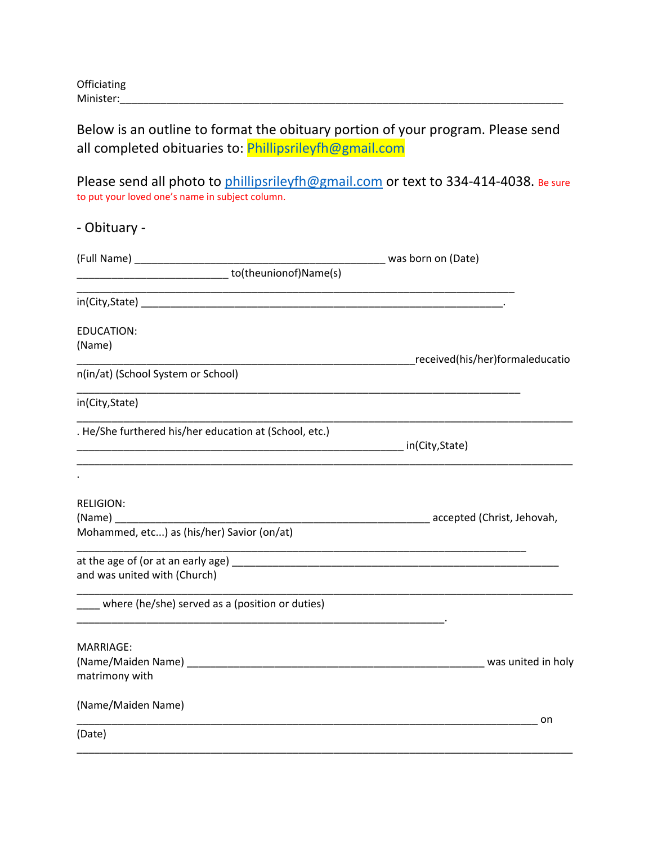## Below is an outline to format the obituary portion of your program. Please send all completed obituaries to: Phillipsrileyfh@gmail.com

Please send all photo to [phillipsrileyfh@gmail.com](mailto:phillipsrileyfh@gmail.com) or text to 334-414-4038. Be sure to put your loved one's name in subject column.

| was born on (Date)                                    |
|-------------------------------------------------------|
|                                                       |
|                                                       |
|                                                       |
| ______________________received(his/her)formaleducatio |
|                                                       |
|                                                       |
|                                                       |
|                                                       |
|                                                       |
|                                                       |
|                                                       |
|                                                       |
|                                                       |
|                                                       |
|                                                       |
| on                                                    |
|                                                       |
|                                                       |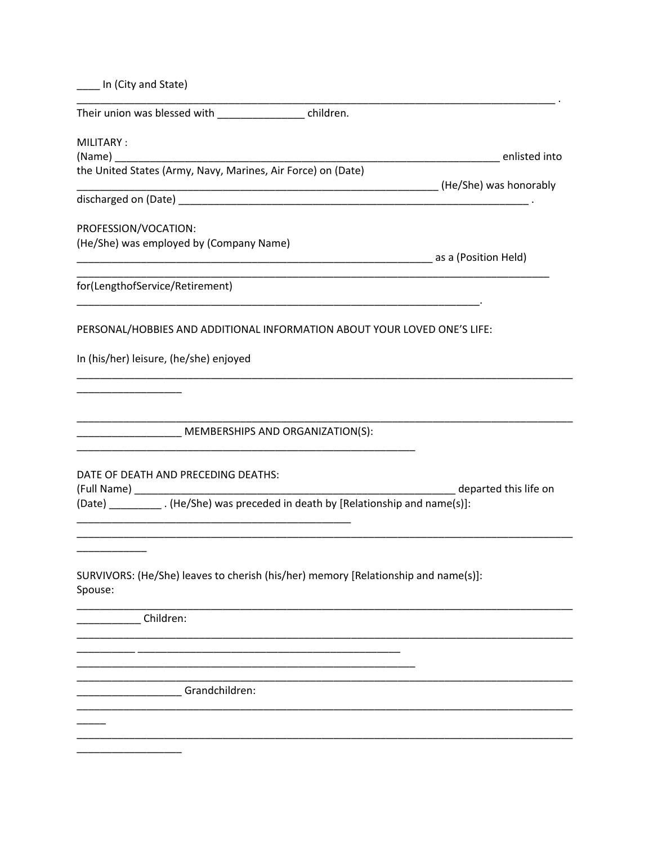|  |  |  | In (City and State) |
|--|--|--|---------------------|
|--|--|--|---------------------|

Their union was blessed with example the children.

MILITARY:

(Name) the United States (Army, Navy, Marines, Air Force) on (Date) 

PROFESSION/VOCATION: (He/She) was employed by (Company Name)

as a (Position Held)

\_\_\_\_\_\_\_\_\_\_\_\_\_\_\_\_\_\_\_\_\_\_\_\_\_\_\_\_\_\_ enlisted into

for(LengthofService/Retirement)

PERSONAL/HOBBIES AND ADDITIONAL INFORMATION ABOUT YOUR LOVED ONE'S LIFE:

In (his/her) leisure, (he/she) enjoyed

\_\_\_\_\_\_\_\_\_\_\_\_\_\_ MEMBERSHIPS AND ORGANIZATION(S):

DATE OF DEATH AND PRECEDING DEATHS:

(Full Name) \_\_\_\_\_

departed this life on (Date) \_\_\_\_\_\_\_\_\_\_\_\_. (He/She) was preceded in death by [Relationship and name(s)]:

SURVIVORS: (He/She) leaves to cherish (his/her) memory [Relationship and name(s)]: Spouse:

Children:

\_\_\_\_\_\_ \_\_\_\_\_\_

Grandchildren: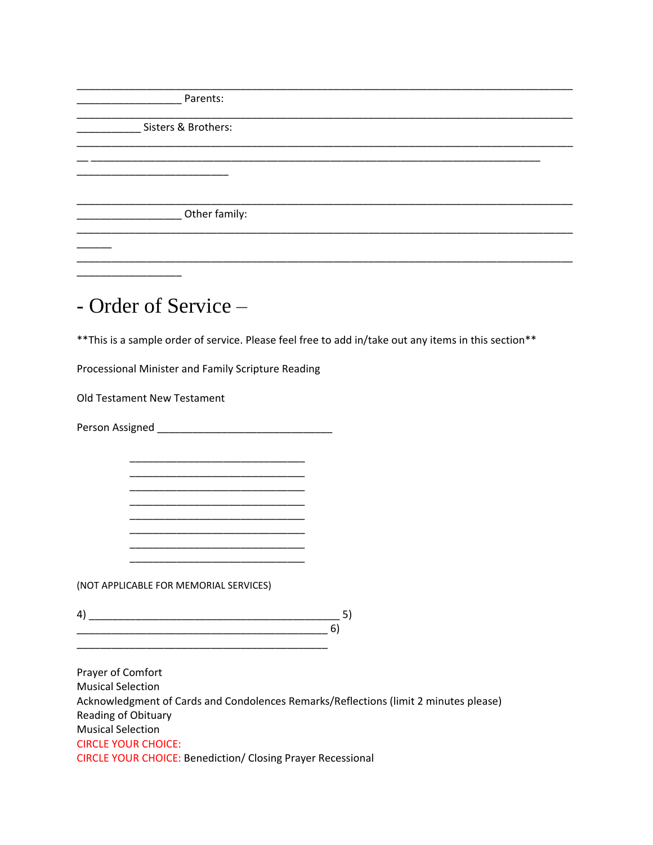**Parents:** 

Sisters & Brothers:

Department of the results of the results of the relationship.

- Order of Service -

\*\* This is a sample order of service. Please feel free to add in/take out any items in this section\*\*

Processional Minister and Family Scripture Reading

Old Testament New Testament

(NOT APPLICABLE FOR MEMORIAL SERVICES)

 $\begin{array}{c} \hline \text{4)} \text{---} \text{5)} \\\hline \end{array}$ 

Prayer of Comfort **Musical Selection** Acknowledgment of Cards and Condolences Remarks/Reflections (limit 2 minutes please) Reading of Obituary **Musical Selection CIRCLE YOUR CHOICE: CIRCLE YOUR CHOICE: Benediction/ Closing Prayer Recessional**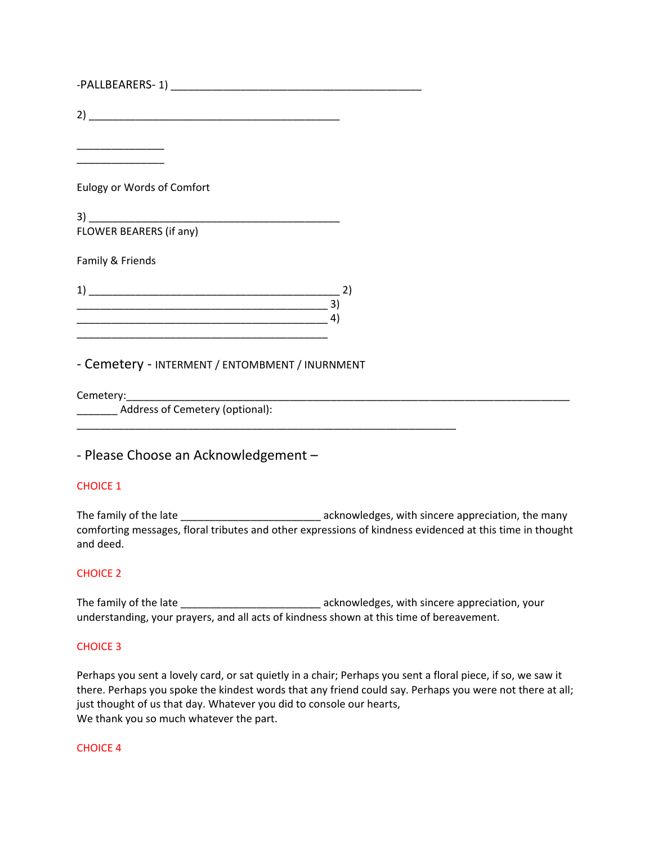| Eulogy or Words of Comfort |    |
|----------------------------|----|
|                            |    |
| FLOWER BEARERS (if any)    |    |
| Family & Friends           |    |
|                            | 2) |
|                            | 4) |
|                            |    |

- Cemetery - INTERMENT / ENTOMBMENT / INURNMENT

\_\_\_\_\_\_\_\_\_\_\_\_\_\_\_\_\_\_\_\_\_\_\_\_\_\_\_\_\_\_\_\_\_\_\_\_\_\_\_\_\_\_\_\_\_\_\_\_\_\_\_\_\_\_\_\_\_\_\_\_\_\_\_\_\_

Cemetery:

\_\_\_\_\_\_\_ Address of Cemetery (optional):

- Please Choose an Acknowledgement –

## CHOICE 1

The family of the late \_\_\_\_\_\_\_\_\_\_\_\_\_\_\_\_\_\_\_\_\_\_\_\_\_\_\_\_\_\_\_\_ acknowledges, with sincere appreciation, the many comforting messages, floral tributes and other expressions of kindness evidenced at this time in thought and deed.

#### CHOICE 2

The family of the late \_\_\_\_\_\_\_\_\_\_\_\_\_\_\_\_\_\_\_\_\_\_\_\_\_\_\_\_\_\_\_\_ acknowledges, with sincere appreciation, your understanding, your prayers, and all acts of kindness shown at this time of bereavement.

#### CHOICE 3

Perhaps you sent a lovely card, or sat quietly in a chair; Perhaps you sent a floral piece, if so, we saw it there. Perhaps you spoke the kindest words that any friend could say. Perhaps you were not there at all; just thought of us that day. Whatever you did to console our hearts, We thank you so much whatever the part.

#### CHOICE 4